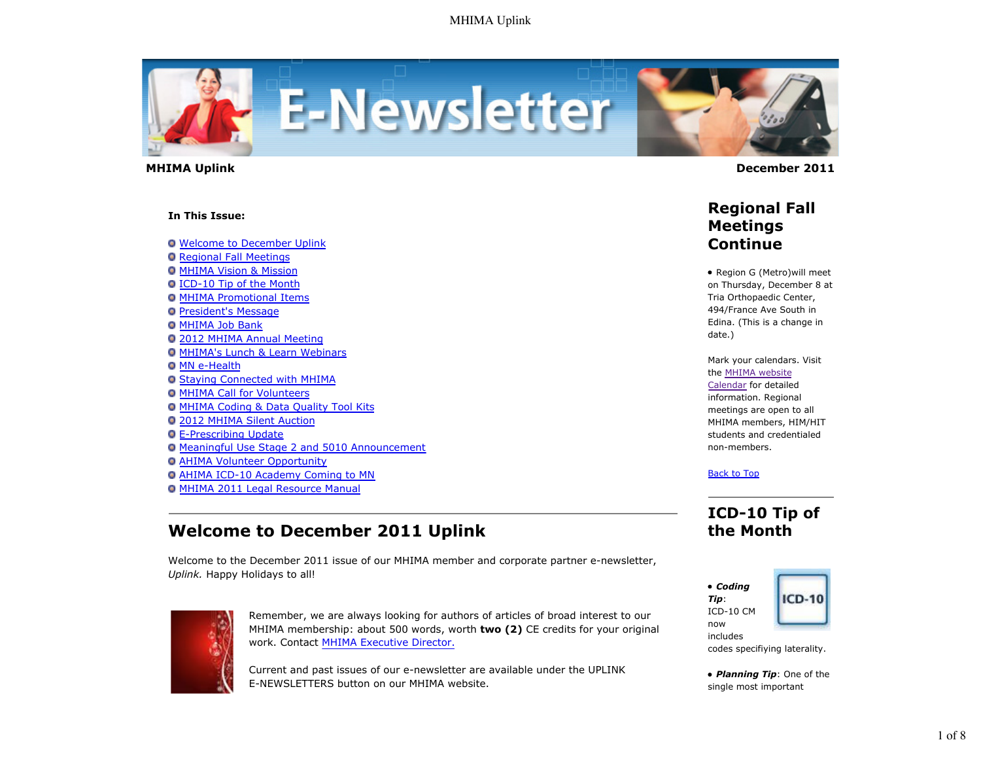

#### **In This Issue:**

**O** Welcome to December Uplink

- **O** Regional Fall Meetings
- **O MHIMA Vision & Mission**
- ICD-10 Tip of the Month
- **O MHIMA Promotional Items**
- **President's Message**
- **O MHIMA Job Bank**
- 2012 MHIMA Annual Meeting
- MHIMA's Lunch & Learn Webinars
- **O MN e-Health**
- Staying Connected with MHIMA
- **O MHIMA Call for Volunteers**
- MHIMA Coding & Data Quality Tool Kits
- 2012 MHIMA Silent Auction
- E-Prescribing Update
- Meaningful Use Stage 2 and 5010 Announcement
- AHIMA Volunteer Opportunity
- AHIMA ICD-10 Academy Coming to MN
- MHIMA 2011 Legal Resource Manual

## **Welcome to December 2011 Uplink**

Welcome to the December 2011 issue of our MHIMA member and corporate partner e-newsletter, *Uplink.* Happy Holidays to all!



Remember, we are always looking for authors of articles of broad interest to our MHIMA membership: about 500 words, worth **two (2)** CE credits for your original work. Contact MHIMA Executive Director.

Current and past issues of our e-newsletter are available under the UPLINK E-NEWSLETTERS button on our MHIMA website.



 **MHIMA Uplink December 2011** 

### **Regional Fall Meetings Continue**

• Region G (Metro) will meet on Thursday, December 8 at Tria Orthopaedic Center, 494/France Ave South in Edina. (This is a change in date.)

Mark your calendars. Visit the MHIMA website Calendar for detailed information. Regional meetings are open to all MHIMA members, HIM/HIT students and credentialed non-members.

### Back to Top

## **ICD-10 Tip of the Month**



codes specifiying laterality.

*Planning Tip*: One of the single most important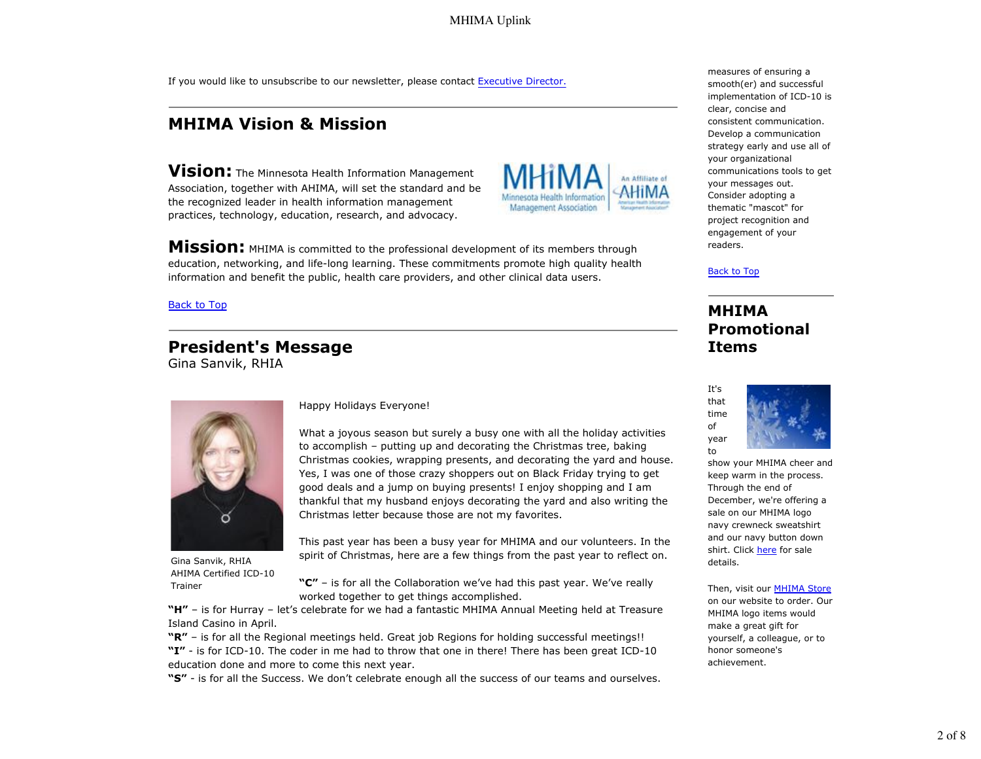If you would like to unsubscribe to our newsletter, please contact Executive Director.

## **MHIMA Vision & Mission**

**Vision:** The Minnesota Health Information Management Association, together with AHIMA, will set the standard and be the recognized leader in health information management practices, technology, education, research, and advocacy.



**Mission:** MHIMA is committed to the professional development of its members through education, networking, and life-long learning. These commitments promote high quality health information and benefit the public, health care providers, and other clinical data users.

#### Back to Top

# **President's Message**

Gina Sanvik, RHIA



Gina Sanvik, RHIA AHIMA Certified ICD-10 Trainer

Happy Holidays Everyone!

What a joyous season but surely a busy one with all the holiday activities to accomplish – putting up and decorating the Christmas tree, baking Christmas cookies, wrapping presents, and decorating the yard and house. Yes, I was one of those crazy shoppers out on Black Friday trying to get good deals and a jump on buying presents! I enjoy shopping and I am thankful that my husband enjoys decorating the yard and also writing the Christmas letter because those are not my favorites.

This past year has been a busy year for MHIMA and our volunteers. In the spirit of Christmas, here are a few things from the past year to reflect on.

**"C"** – is for all the Collaboration we've had this past year. We've really worked together to get things accomplished.

**"H"** – is for Hurray – let's celebrate for we had a fantastic MHIMA Annual Meeting held at Treasure Island Casino in April.

**"R"** – is for all the Regional meetings held. Great job Regions for holding successful meetings!! **"I"** - is for ICD-10. The coder in me had to throw that one in there! There has been great ICD-10 education done and more to come this next year.

**"S"** - is for all the Success. We don't celebrate enough all the success of our teams and ourselves.

measures of ensuring a smooth(er) and successful implementation of ICD-10 is clear, concise and consistent communication. Develop a communication strategy early and use all of your organizational communications tools to get your messages out. Consider adopting a thematic "mascot" for project recognition and engagement of your readers.

Back to Top

### **MHIMA Promotional Items**



show your MHIMA cheer and keep warm in the process. Through the end of December, we're offering a sale on our MHIMA logo navy crewneck sweatshirt and our navy button down shirt. Click here for sale details.

Then, visit our MHIMA Store on our website to order. Our MHIMA logo items would make a great gift for yourself, a colleague, or to honor someone's achievement.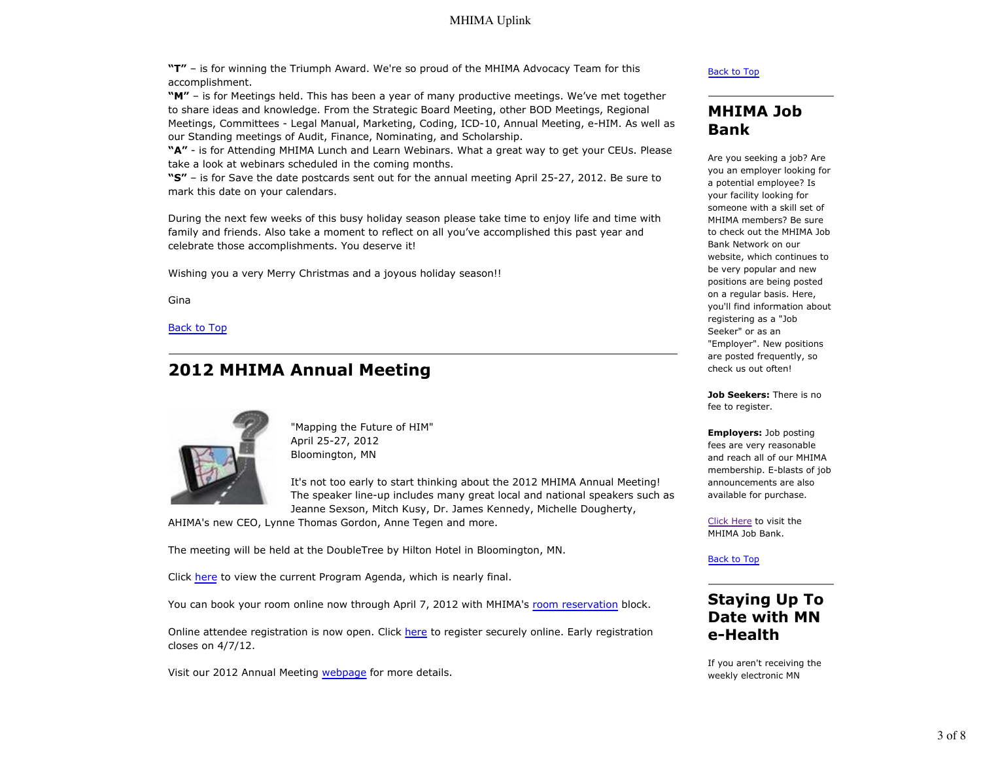**"T"** – is for winning the Triumph Award. We're so proud of the MHIMA Advocacy Team for this accomplishment.

**"M"** – is for Meetings held. This has been a year of many productive meetings. We've met together to share ideas and knowledge. From the Strategic Board Meeting, other BOD Meetings, Regional Meetings, Committees - Legal Manual, Marketing, Coding, ICD-10, Annual Meeting, e-HIM. As well as our Standing meetings of Audit, Finance, Nominating, and Scholarship.

**"A"** - is for Attending MHIMA Lunch and Learn Webinars. What a great way to get your CEUs. Please take a look at webinars scheduled in the coming months.

**"S"** – is for Save the date postcards sent out for the annual meeting April 25-27, 2012. Be sure to mark this date on your calendars.

During the next few weeks of this busy holiday season please take time to enjoy life and time with family and friends. Also take a moment to reflect on all you've accomplished this past year and celebrate those accomplishments. You deserve it!

Wishing you a very Merry Christmas and a joyous holiday season!!

Gina

Back to Top

## **2012 MHIMA Annual Meeting**



"Mapping the Future of HIM" April 25-27, 2012 Bloomington, MN

It's not too early to start thinking about the 2012 MHIMA Annual Meeting! The speaker line-up includes many great local and national speakers such as Jeanne Sexson, Mitch Kusy, Dr. James Kennedy, Michelle Dougherty,

AHIMA's new CEO, Lynne Thomas Gordon, Anne Tegen and more.

The meeting will be held at the DoubleTree by Hilton Hotel in Bloomington, MN.

Click here to view the current Program Agenda, which is nearly final.

You can book your room online now through April 7, 2012 with MHIMA's room reservation block.

Online attendee registration is now open. Click here to register securely online. Early registration closes on 4/7/12.

Visit our 2012 Annual Meeting webpage for more details.

#### Back to Top

### **MHIMA Job Bank**

Are you seeking a job? Are you an employer looking for a potential employee? Is your facility looking for someone with a skill set of MHIMA members? Be sure to check out the MHIMA Job Bank Network on our website, which continues to be very popular and new positions are being posted on a regular basis. Here, you'll find information about registering as a "Job Seeker" or as an "Employer". New positions are posted frequently, so check us out often!

**Job Seekers:** There is no fee to register.

**Employers:** Job posting fees are very reasonable and reach all of our MHIMA membership. E-blasts of job announcements are also available for purchase.

Click Here to visit the MHIMA Job Bank.

Back to Top

## **Staying Up To Date with MN e-Health**

If you aren't receiving the weekly electronic MN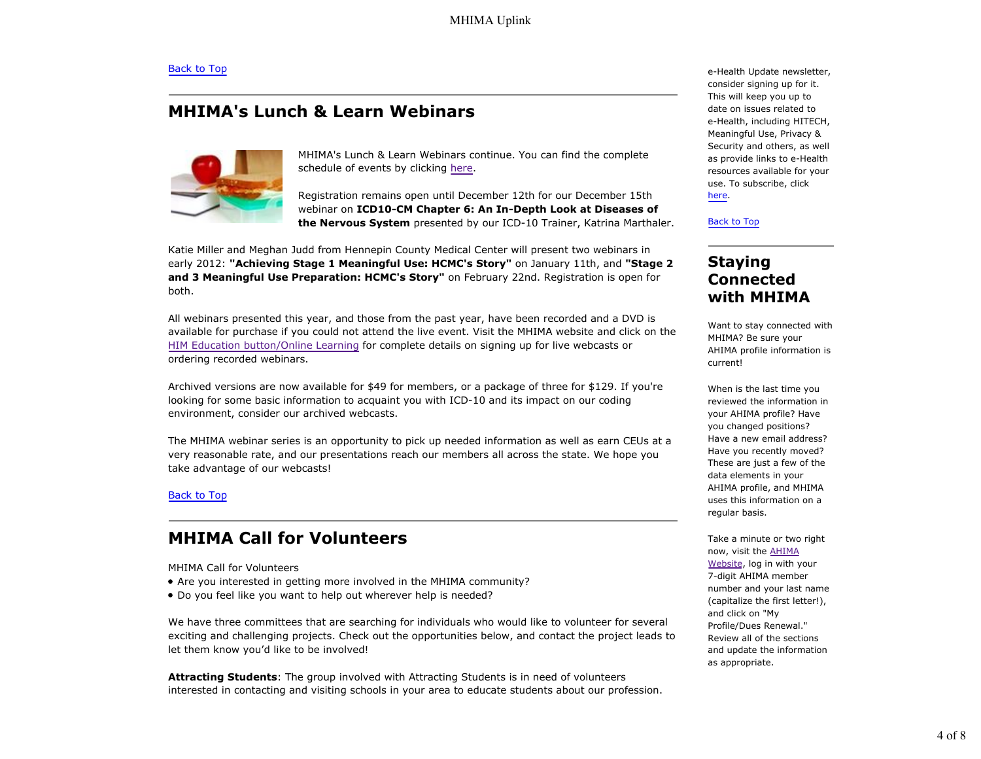## **MHIMA's Lunch & Learn Webinars**



MHIMA's Lunch & Learn Webinars continue. You can find the complete schedule of events by clicking here.

Registration remains open until December 12th for our December 15th webinar on **ICD10-CM Chapter 6: An In-Depth Look at Diseases of the Nervous System** presented by our ICD-10 Trainer, Katrina Marthaler.

Katie Miller and Meghan Judd from Hennepin County Medical Center will present two webinars in early 2012: **"Achieving Stage 1 Meaningful Use: HCMC's Story"** on January 11th, and **"Stage 2 and 3 Meaningful Use Preparation: HCMC's Story"** on February 22nd. Registration is open for both.

All webinars presented this year, and those from the past year, have been recorded and a DVD is available for purchase if you could not attend the live event. Visit the MHIMA website and click on the HIM Education button/Online Learning for complete details on signing up for live webcasts or ordering recorded webinars.

Archived versions are now available for \$49 for members, or a package of three for \$129. If you're looking for some basic information to acquaint you with ICD-10 and its impact on our coding environment, consider our archived webcasts.

The MHIMA webinar series is an opportunity to pick up needed information as well as earn CEUs at a very reasonable rate, and our presentations reach our members all across the state. We hope you take advantage of our webcasts!

### Back to Top

## **MHIMA Call for Volunteers**

MHIMA Call for Volunteers

- Are you interested in getting more involved in the MHIMA community?
- Do you feel like you want to help out wherever help is needed?

We have three committees that are searching for individuals who would like to volunteer for several exciting and challenging projects. Check out the opportunities below, and contact the project leads to let them know you'd like to be involved!

**Attracting Students**: The group involved with Attracting Students is in need of volunteers interested in contacting and visiting schools in your area to educate students about our profession. e-Health Update newsletter, consider signing up for it. This will keep you up to date on issues related to e-Health, including HITECH, Meaningful Use, Privacy & Security and others, as well as provide links to e-Health resources available for your use. To subscribe, click here.

#### Back to Top

### **Staying Connected with MHIMA**

Want to stay connected with MHIMA? Be sure your AHIMA profile information is current!

When is the last time you reviewed the information in your AHIMA profile? Have you changed positions? Have a new email address? Have you recently moved? These are just a few of the data elements in your AHIMA profile, and MHIMA uses this information on a regular basis.

Take a minute or two right now, visit the AHIMA Website, log in with your 7-digit AHIMA member number and your last name (capitalize the first letter!), and click on "My Profile/Dues Renewal." Review all of the sections and update the information as appropriate.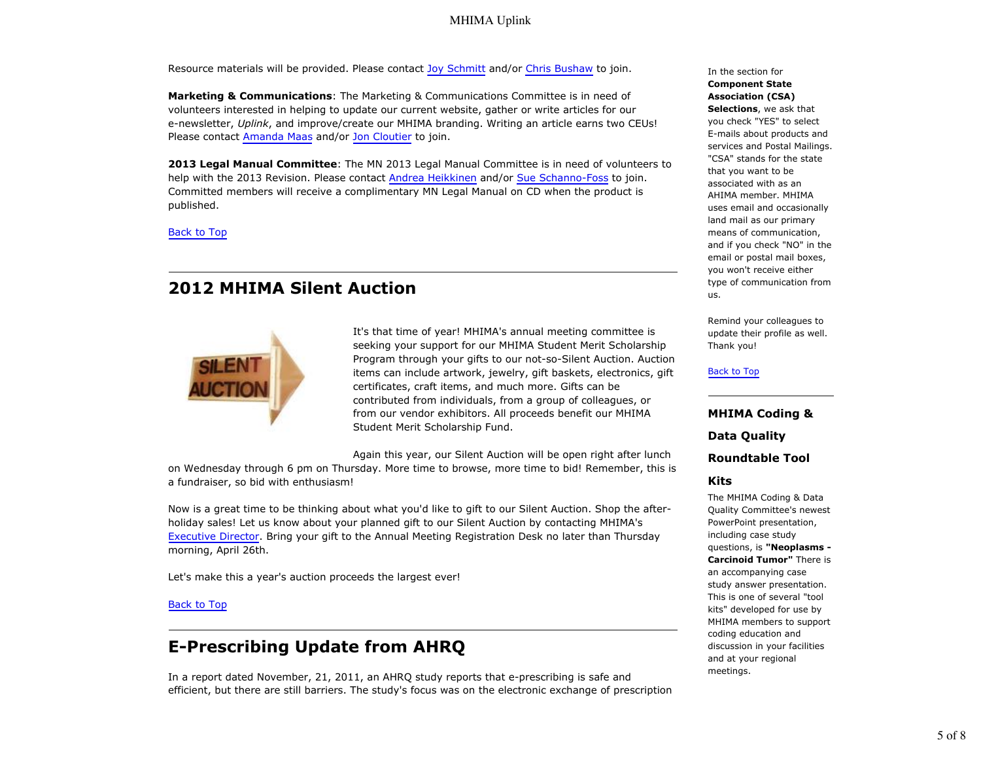Resource materials will be provided. Please contact Joy Schmitt and/or Chris Bushaw to join.

**Marketing & Communications**: The Marketing & Communications Committee is in need of volunteers interested in helping to update our current website, gather or write articles for our e-newsletter, *Uplink*, and improve/create our MHIMA branding. Writing an article earns two CEUs! Please contact Amanda Maas and/or Jon Cloutier to join.

**2013 Legal Manual Committee**: The MN 2013 Legal Manual Committee is in need of volunteers to help with the 2013 Revision. Please contact Andrea Heikkinen and/or Sue Schanno-Foss to join. Committed members will receive a complimentary MN Legal Manual on CD when the product is published.

Back to Top

## **2012 MHIMA Silent Auction**



It's that time of year! MHIMA's annual meeting committee is seeking your support for our MHIMA Student Merit Scholarship Program through your gifts to our not-so-Silent Auction. Auction items can include artwork, jewelry, gift baskets, electronics, gift certificates, craft items, and much more. Gifts can be contributed from individuals, from a group of colleagues, or from our vendor exhibitors. All proceeds benefit our MHIMA Student Merit Scholarship Fund.

Again this year, our Silent Auction will be open right after lunch on Wednesday through 6 pm on Thursday. More time to browse, more time to bid! Remember, this is a fundraiser, so bid with enthusiasm!

Now is a great time to be thinking about what you'd like to gift to our Silent Auction. Shop the afterholiday sales! Let us know about your planned gift to our Silent Auction by contacting MHIMA's Executive Director. Bring your gift to the Annual Meeting Registration Desk no later than Thursday morning, April 26th.

Let's make this a year's auction proceeds the largest ever!

### Back to Top

## **E-Prescribing Update from AHRQ**

In a report dated November, 21, 2011, an AHRQ study reports that e-prescribing is safe and efficient, but there are still barriers. The study's focus was on the electronic exchange of prescription In the section for **Component State Association (CSA) Selections**, we ask that you check "YES" to select E-mails about products and services and Postal Mailings.

"CSA" stands for the state that you want to be associated with as an AHIMA member. MHIMA uses email and occasionally land mail as our primary means of communication, and if you check "NO" in the email or postal mail boxes, you won't receive either type of communication from us.

Remind your colleagues to update their profile as well. Thank you!

#### Back to Top

**MHIMA Coding & Data Quality Roundtable Tool**

### **Kits**

The MHIMA Coding & Data Quality Committee's newest PowerPoint presentation, including case study questions, is **"Neoplasms - Carcinoid Tumor"** There is an accompanying case study answer presentation. This is one of several "tool kits" developed for use by MHIMA members to support coding education and discussion in your facilities and at your regional meetings.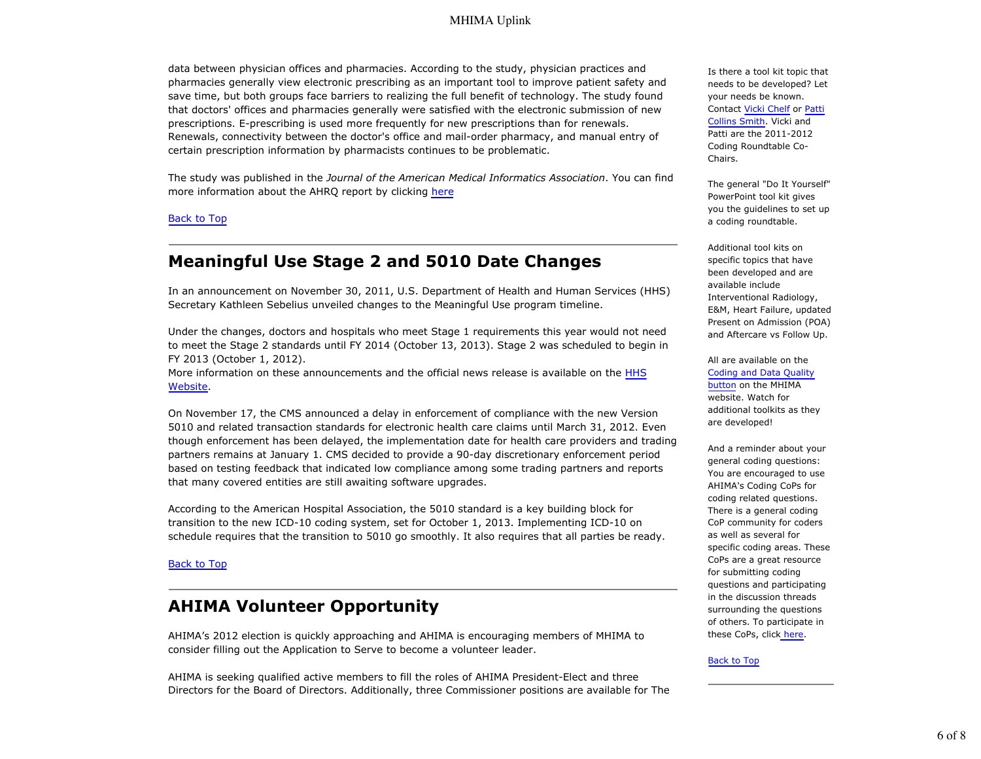### MHIMA Uplink

data between physician offices and pharmacies. According to the study, physician practices and pharmacies generally view electronic prescribing as an important tool to improve patient safety and save time, but both groups face barriers to realizing the full benefit of technology. The study found that doctors' offices and pharmacies generally were satisfied with the electronic submission of new prescriptions. E-prescribing is used more frequently for new prescriptions than for renewals. Renewals, connectivity between the doctor's office and mail-order pharmacy, and manual entry of certain prescription information by pharmacists continues to be problematic.

The study was published in the *Journal of the American Medical Informatics Association*. You can find more information about the AHRQ report by clicking here

#### Back to Top

### **Meaningful Use Stage 2 and 5010 Date Changes**

In an announcement on November 30, 2011, U.S. Department of Health and Human Services (HHS) Secretary Kathleen Sebelius unveiled changes to the Meaningful Use program timeline.

Under the changes, doctors and hospitals who meet Stage 1 requirements this year would not need to meet the Stage 2 standards until FY 2014 (October 13, 2013). Stage 2 was scheduled to begin in FY 2013 (October 1, 2012).

More information on these announcements and the official news release is available on the HHS Website.

On November 17, the CMS announced a delay in enforcement of compliance with the new Version 5010 and related transaction standards for electronic health care claims until March 31, 2012. Even though enforcement has been delayed, the implementation date for health care providers and trading partners remains at January 1. CMS decided to provide a 90-day discretionary enforcement period based on testing feedback that indicated low compliance among some trading partners and reports that many covered entities are still awaiting software upgrades.

According to the American Hospital Association, the 5010 standard is a key building block for transition to the new ICD-10 coding system, set for October 1, 2013. Implementing ICD-10 on schedule requires that the transition to 5010 go smoothly. It also requires that all parties be ready.

#### Back to Top

### **AHIMA Volunteer Opportunity**

AHIMA's 2012 election is quickly approaching and AHIMA is encouraging members of MHIMA to consider filling out the Application to Serve to become a volunteer leader.

AHIMA is seeking qualified active members to fill the roles of AHIMA President-Elect and three Directors for the Board of Directors. Additionally, three Commissioner positions are available for The Is there a tool kit topic that needs to be developed? Let your needs be known. Contact Vicki Chelf or Patti Collins Smith. Vicki and Patti are the 2011-2012 Coding Roundtable Co-Chairs.

The general "Do It Yourself" PowerPoint tool kit gives you the guidelines to set up a coding roundtable.

Additional tool kits on specific topics that have been developed and are available include Interventional Radiology, E&M, Heart Failure, updated Present on Admission (POA) and Aftercare vs Follow Up.

All are available on the Coding and Data Quality button on the MHIMA website. Watch for additional toolkits as they are developed!

And a reminder about your general coding questions: You are encouraged to use AHIMA's Coding CoPs for coding related questions. There is a general coding CoP community for coders as well as several for specific coding areas. These CoPs are a great resource for submitting coding questions and participating in the discussion threads surrounding the questions of others. To participate in these CoPs, click here.

#### Back to Top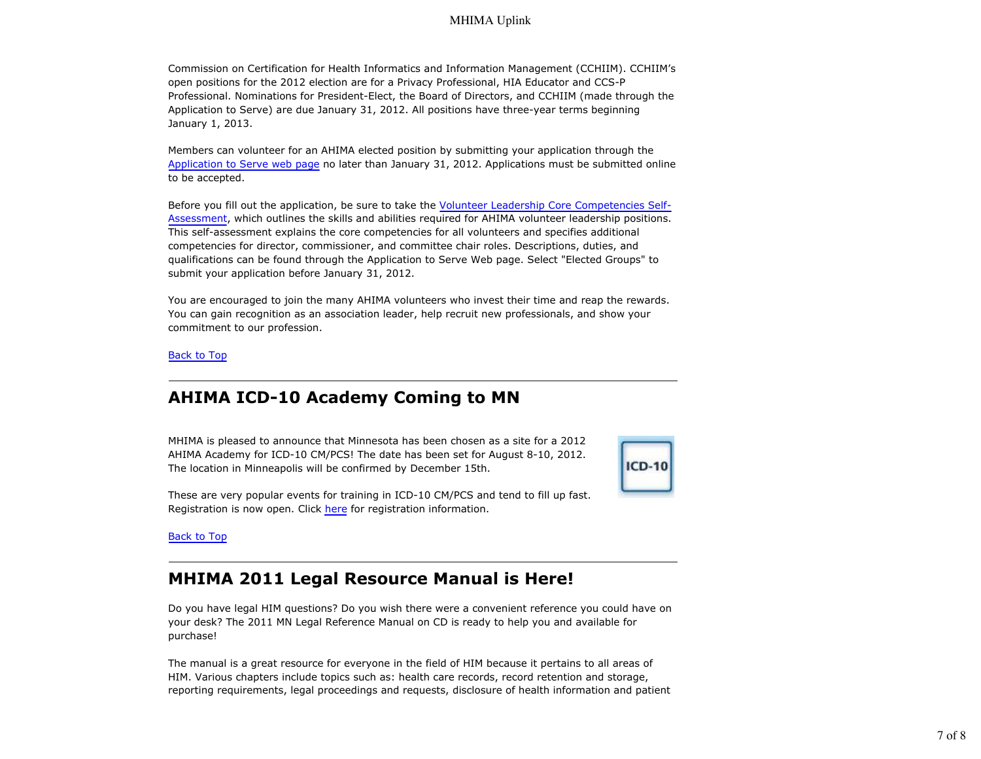### MHIMA Uplink

Commission on Certification for Health Informatics and Information Management (CCHIIM). CCHIIM's open positions for the 2012 election are for a Privacy Professional, HIA Educator and CCS-P Professional. Nominations for President-Elect, the Board of Directors, and CCHIIM (made through the Application to Serve) are due January 31, 2012. All positions have three-year terms beginning January 1, 2013.

Members can volunteer for an AHIMA elected position by submitting your application through the Application to Serve web page no later than January 31, 2012. Applications must be submitted online to be accepted.

Before you fill out the application, be sure to take the Volunteer Leadership Core Competencies Self-Assessment, which outlines the skills and abilities required for AHIMA volunteer leadership positions. This self-assessment explains the core competencies for all volunteers and specifies additional competencies for director, commissioner, and committee chair roles. Descriptions, duties, and qualifications can be found through the Application to Serve Web page. Select "Elected Groups" to submit your application before January 31, 2012.

You are encouraged to join the many AHIMA volunteers who invest their time and reap the rewards. You can gain recognition as an association leader, help recruit new professionals, and show your commitment to our profession.

Back to Top

## **AHIMA ICD-10 Academy Coming to MN**

MHIMA is pleased to announce that Minnesota has been chosen as a site for a 2012 AHIMA Academy for ICD-10 CM/PCS! The date has been set for August 8-10, 2012. The location in Minneapolis will be confirmed by December 15th.



These are very popular events for training in ICD-10 CM/PCS and tend to fill up fast. Registration is now open. Click here for registration information.

Back to Top

### **MHIMA 2011 Legal Resource Manual is Here!**

Do you have legal HIM questions? Do you wish there were a convenient reference you could have on your desk? The 2011 MN Legal Reference Manual on CD is ready to help you and available for purchase!

The manual is a great resource for everyone in the field of HIM because it pertains to all areas of HIM. Various chapters include topics such as: health care records, record retention and storage, reporting requirements, legal proceedings and requests, disclosure of health information and patient